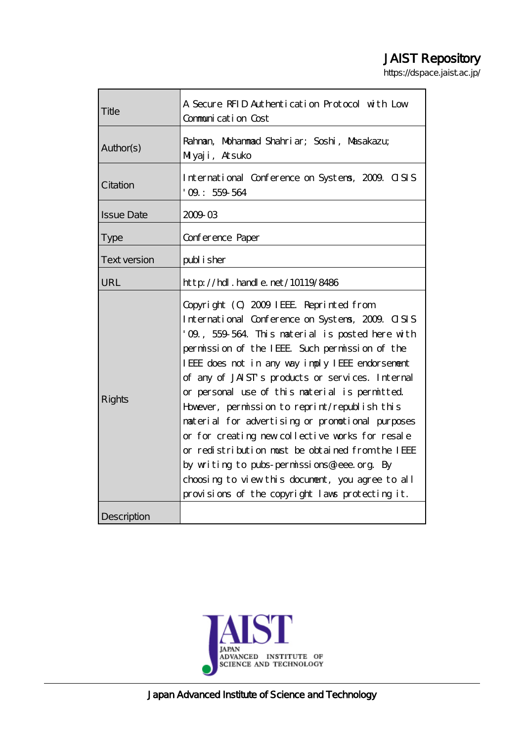# JAIST Repository

https://dspace.jaist.ac.jp/

| Title               | A Secure RFID Authentication Protocol with Low<br>Communication Cost                                                                                                                                                                                                                                                                                                                                                                                                                                                                                                                                                                                                                                                     |  |  |  |
|---------------------|--------------------------------------------------------------------------------------------------------------------------------------------------------------------------------------------------------------------------------------------------------------------------------------------------------------------------------------------------------------------------------------------------------------------------------------------------------------------------------------------------------------------------------------------------------------------------------------------------------------------------------------------------------------------------------------------------------------------------|--|--|--|
| Author(s)           | Rahnan, Mohanmad Shahriar; Soshi, Masakazur<br>Miyaji, Atsuko                                                                                                                                                                                                                                                                                                                                                                                                                                                                                                                                                                                                                                                            |  |  |  |
| Citation            | International Conference on Systems, 2009. CISIS<br>$'$ 09: 559 564                                                                                                                                                                                                                                                                                                                                                                                                                                                                                                                                                                                                                                                      |  |  |  |
| <b>Issue Date</b>   | 200903                                                                                                                                                                                                                                                                                                                                                                                                                                                                                                                                                                                                                                                                                                                   |  |  |  |
| <b>Type</b>         | Conference Paper                                                                                                                                                                                                                                                                                                                                                                                                                                                                                                                                                                                                                                                                                                         |  |  |  |
| <b>Text version</b> | publisher                                                                                                                                                                                                                                                                                                                                                                                                                                                                                                                                                                                                                                                                                                                |  |  |  |
| URL                 | http://hdl.handle.net/10119/8486                                                                                                                                                                                                                                                                                                                                                                                                                                                                                                                                                                                                                                                                                         |  |  |  |
| Rights              | Copyright (C) 2009 IEEE Reprinted from<br>International Conference on Systems, 2009. CISIS<br>'09, 559-564. This material is posted here with<br>permission of the IEEE Such permission of the<br>IEEE does not in any way imply IEEE endorsement<br>of any of JAIST's products or services. Internal<br>or personal use of this naterial is permitted<br>However, permission to reprint/republish this<br>material for advertising or promotional purposes<br>or for creating new collective works for resale<br>or redistribution must be obtained from the IEEE<br>by writing to pubs-permissions@ieee.org. By<br>choosing to view this document, you agree to all<br>provisions of the copyright laws protecting it. |  |  |  |
| Description         |                                                                                                                                                                                                                                                                                                                                                                                                                                                                                                                                                                                                                                                                                                                          |  |  |  |

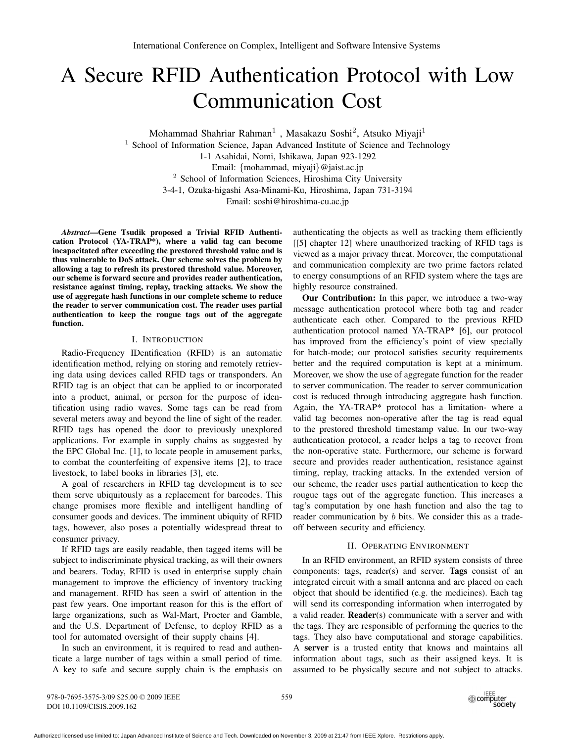# A Secure RFID Authentication Protocol with Low Communication Cost

Mohammad Shahriar Rahman<sup>1</sup>, Masakazu Soshi<sup>2</sup>, Atsuko Miyaji<sup>1</sup> <sup>1</sup> School of Information Science, Japan Advanced Institute of Science and Technology 1-1 Asahidai, Nomi, Ishikawa, Japan 923-1292 Email: {mohammad, miyaji}@jaist.ac.jp <sup>2</sup> School of Information Sciences, Hiroshima City University 3-4-1, Ozuka-higashi Asa-Minami-Ku, Hiroshima, Japan 731-3194 Email: soshi@hiroshima-cu.ac.jp

*Abstract***—Gene Tsudik proposed a Trivial RFID Authentication Protocol (YA-TRAP\*), where a valid tag can become incapacitated after exceeding the prestored threshold value and is thus vulnerable to DoS attack. Our scheme solves the problem by allowing a tag to refresh its prestored threshold value. Moreover, our scheme is forward secure and provides reader authentication, resistance against timing, replay, tracking attacks. We show the use of aggregate hash functions in our complete scheme to reduce the reader to server communication cost. The reader uses partial authentication to keep the rougue tags out of the aggregate function.**

# I. INTRODUCTION

Radio-Frequency IDentification (RFID) is an automatic identification method, relying on storing and remotely retrieving data using devices called RFID tags or transponders. An RFID tag is an object that can be applied to or incorporated into a product, animal, or person for the purpose of identification using radio waves. Some tags can be read from several meters away and beyond the line of sight of the reader. RFID tags has opened the door to previously unexplored applications. For example in supply chains as suggested by the EPC Global Inc. [1], to locate people in amusement parks, to combat the counterfeiting of expensive items [2], to trace livestock, to label books in libraries [3], etc.

A goal of researchers in RFID tag development is to see them serve ubiquitously as a replacement for barcodes. This change promises more flexible and intelligent handling of consumer goods and devices. The imminent ubiquity of RFID tags, however, also poses a potentially widespread threat to consumer privacy.

If RFID tags are easily readable, then tagged items will be subject to indiscriminate physical tracking, as will their owners and bearers. Today, RFID is used in enterprise supply chain management to improve the efficiency of inventory tracking and management. RFID has seen a swirl of attention in the past few years. One important reason for this is the effort of large organizations, such as Wal-Mart, Procter and Gamble, and the U.S. Department of Defense, to deploy RFID as a tool for automated oversight of their supply chains [4].

In such an environment, it is required to read and authenticate a large number of tags within a small period of time. A key to safe and secure supply chain is the emphasis on authenticating the objects as well as tracking them efficiently [[5] chapter 12] where unauthorized tracking of RFID tags is viewed as a major privacy threat. Moreover, the computational and communication complexity are two prime factors related to energy consumptions of an RFID system where the tags are highly resource constrained.

**Our Contribution:** In this paper, we introduce a two-way message authentication protocol where both tag and reader authenticate each other. Compared to the previous RFID authentication protocol named YA-TRAP\* [6], our protocol has improved from the efficiency's point of view specially for batch-mode; our protocol satisfies security requirements better and the required computation is kept at a minimum. Moreover, we show the use of aggregate function for the reader to server communication. The reader to server communication cost is reduced through introducing aggregate hash function. Again, the YA-TRAP\* protocol has a limitation- where a valid tag becomes non-operative after the tag is read equal to the prestored threshold timestamp value. In our two-way authentication protocol, a reader helps a tag to recover from the non-operative state. Furthermore, our scheme is forward secure and provides reader authentication, resistance against timing, replay, tracking attacks. In the extended version of our scheme, the reader uses partial authentication to keep the rougue tags out of the aggregate function. This increases a tag's computation by one hash function and also the tag to reader communication by *b* bits. We consider this as a tradeoff between security and efficiency.

#### II. OPERATING ENVIRONMENT

In an RFID environment, an RFID system consists of three components: tags, reader(s) and server. **Tags** consist of an integrated circuit with a small antenna and are placed on each object that should be identified (e.g. the medicines). Each tag will send its corresponding information when interrogated by a valid reader. **Reader**(s) communicate with a server and with the tags. They are responsible of performing the queries to the tags. They also have computational and storage capabilities. A **server** is a trusted entity that knows and maintains all information about tags, such as their assigned keys. It is assumed to be physically secure and not subject to attacks.

978-0-7695-3575-3/09 \$25.00 © 2009 IEEE DOI 10.1109/CISIS.2009.162

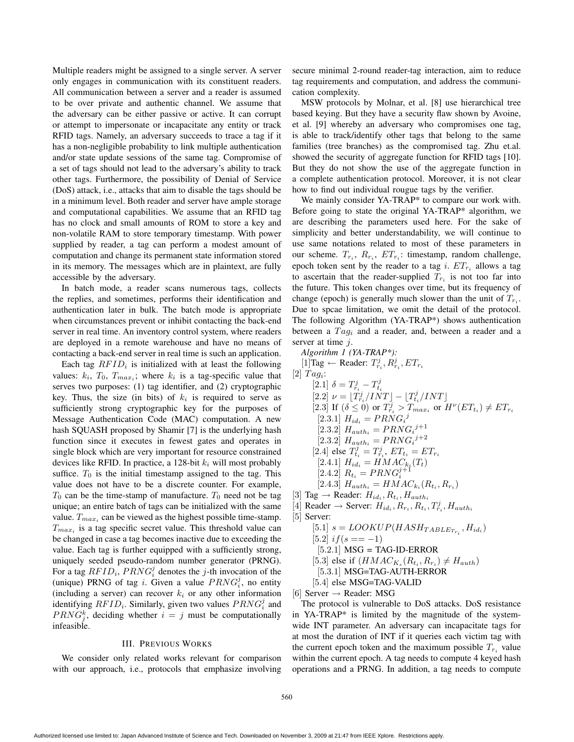Multiple readers might be assigned to a single server. A server only engages in communication with its constituent readers. All communication between a server and a reader is assumed to be over private and authentic channel. We assume that the adversary can be either passive or active. It can corrupt or attempt to impersonate or incapacitate any entity or track RFID tags. Namely, an adversary succeeds to trace a tag if it has a non-negligible probability to link multiple authentication and/or state update sessions of the same tag. Compromise of a set of tags should not lead to the adversary's ability to track other tags. Furthermore, the possibility of Denial of Service (DoS) attack, i.e., attacks that aim to disable the tags should be in a minimum level. Both reader and server have ample storage and computational capabilities. We assume that an RFID tag has no clock and small amounts of ROM to store a key and non-volatile RAM to store temporary timestamp. With power supplied by reader, a tag can perform a modest amount of computation and change its permanent state information stored in its memory. The messages which are in plaintext, are fully accessible by the adversary.

In batch mode, a reader scans numerous tags, collects the replies, and sometimes, performs their identification and authentication later in bulk. The batch mode is appropriate when circumstances prevent or inhibit contacting the back-end server in real time. An inventory control system, where readers are deployed in a remote warehouse and have no means of contacting a back-end server in real time is such an application.

Each tag  $RFID_i$  is initialized with at least the following values:  $k_i$ ,  $T_0$ ,  $T_{max_i}$ ; where  $k_i$  is a tag-specific value that serves two purposes: (1) tag identifier, and (2) cryptographic key. Thus, the size (in bits) of  $k_i$  is required to serve as sufficiently strong cryptographic key for the purposes of Message Authentication Code (MAC) computation. A new hash SQUASH proposed by Shamir [7] is the underlying hash function since it executes in fewest gates and operates in single block which are very important for resource constrained devices like RFID. In practice, a 128-bit  $k_i$  will most probably suffice.  $T_0$  is the initial timestamp assigned to the tag. This value does not have to be a discrete counter. For example,  $T_0$  can be the time-stamp of manufacture.  $T_0$  need not be tag unique; an entire batch of tags can be initialized with the same value.  $T_{max_i}$  can be viewed as the highest possible time-stamp.  $T_{max_i}$  is a tag specific secret value. This threshold value can be changed in case a tag becomes inactive due to exceeding the value. Each tag is further equipped with a sufficiently strong, uniquely seeded pseudo-random number generator (PRNG). For a tag  $RFID_i$ ,  $PRNG_i^j$  denotes the j-th invocation of the (unique) PRNG of tag *i*. Given a value  $PRNG_i^j$ , no entity (including a server) can recover  $k_i$  or any other information identifying  $RFID_i$ . Similarly, given two values  $PRNG_i^j$  and  $PRNG_i^k$ , deciding whether  $i = j$  must be computationally infeasible.

# III. PREVIOUS WORKS

We consider only related works relevant for comparison with our approach, i.e., protocols that emphasize involving secure minimal 2-round reader-tag interaction, aim to reduce tag requirements and computation, and address the communication complexity.

MSW protocols by Molnar, et al. [8] use hierarchical tree based keying. But they have a security flaw shown by Avoine, et al. [9] whereby an adversary who compromises one tag, is able to track/identify other tags that belong to the same families (tree branches) as the compromised tag. Zhu et.al. showed the security of aggregate function for RFID tags [10]. But they do not show the use of the aggregate function in a complete authentication protocol. Moreover, it is not clear how to find out individual rougue tags by the verifier.

We mainly consider YA-TRAP\* to compare our work with. Before going to state the original YA-TRAP\* algorithm, we are describing the parameters used here. For the sake of simplicity and better understandability, we will continue to use same notations related to most of these parameters in our scheme.  $T_{r_i}$ ,  $R_{r_i}$ ,  $ET_{r_i}$ : timestamp, random challenge, epoch token sent by the reader to a tag *i*.  $ET_{r_i}$  allows a tag to ascertain that the reader-supplied  $T_{r_i}$  is not too far into the future. This token changes over time, but its frequency of change (epoch) is generally much slower than the unit of  $T_{r_i}$ . Due to spcae limitation, we omit the detail of the protocol. The following Algorithm (YA-TRAP\*) shows authentication between a  $Tag_i$  and a reader, and, between a reader and a server at time j.

*Algorithm 1 (YA-TRAP\*):*

 $[1]$ Tag  $\leftarrow$  Reader:  $T_{r_i}^j$ ,  $R_{r_i}^j$ ,  $ET_{r_i}$ [2]  $Tag_i$ :  $[2.1]$   $\delta = T_{r_i}^j - T_{t_i}^j$  $\left[ 2.2\right] \nu = \lfloor T_{r_i}^j /INT \rfloor - \lfloor T_{t_i}^j /INT \rfloor$ [2.3] If  $(\delta \leq 0)$  or  $T_{r_i}^j > T_{max_i}^i$  or  $H^{\nu}(ET_{t_i}) \neq ET_{r_i}$  $[2.3.1]$   $H_{id_i} = PRNG_i{}^{i}$  $\left[2.3.2\right] H_{auth_i} = PRNG_i{}^{j+1}$  $\left[2.3.2\right] H_{auth_i} = PRNG_i^{j+2}$  $[2.4]$  else  $T_{t_i}^j = T_{r_i}^j$ ,  $ET_{t_i} = ET_{r_i}$  $[2.4.1]$   $H_{id_i} = HMAC_{k_i}(T_t)$ <br> $[2.4.2]$   $R_{t_i} = PRNG_i^{j+1}$  $[2.4.3]$   $H_{auth_i} = HMAC_{k_i}(R_{t_i}, R_{r_i})$ [3] Tag  $\rightarrow$  Reader:  $H_{id_i}, R_{t_i}, H_{auth_i}$  $[4]$  Reader  $\rightarrow$  Server:  $H_{id_i}, R_{r_i}, R_{t_i}, T_{r_i}^j, H_{auth_i}$ [5] Server:

- $[5.1]$   $s = LOGKUP(HASH_{TABLE_{T_{i}}}, H_{id_{i}})$
- $[5.2]$  if  $(s == -1)$
- $[5.2.1]$  MSG = TAG-ID-ERROR
- [5.3] else if  $(HMAC_{K_s}(R_{t_i}, R_{r_i}) \neq H_{auth})$
- [5.3.1] MSG=TAG-AUTH-ERROR
- [5.4] else MSG=TAG-VALID

[6] Server  $\rightarrow$  Reader: MSG

The protocol is vulnerable to DoS attacks. DoS resistance in YA-TRAP\* is limited by the magnitude of the systemwide INT parameter. An adversary can incapacitate tags for at most the duration of INT if it queries each victim tag with the current epoch token and the maximum possible  $T_{r_i}$  value within the current epoch. A tag needs to compute 4 keyed hash operations and a PRNG. In addition, a tag needs to compute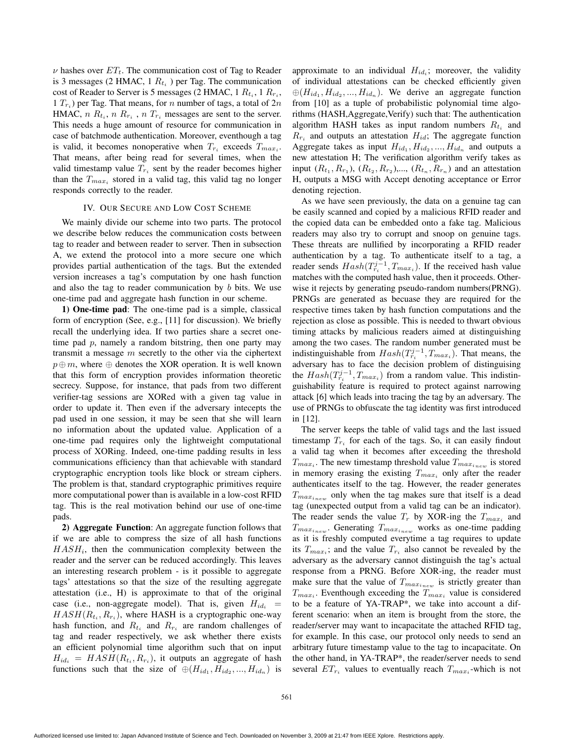$\nu$  hashes over  $ET_t$ . The communication cost of Tag to Reader is 3 messages (2 HMAC,  $1 R_{t_i}$ ) per Tag. The communication cost of Reader to Server is 5 messages (2 HMAC,  $1 R_{t_i}$ ,  $1 R_{r_i}$ , 1  $T_{r_i}$ ) per Tag. That means, for *n* number of tags, a total of  $2n$ HMAC,  $n R_{t_i}$ ,  $n R_{r_i}$ ,  $n T_{r_i}$  messages are sent to the server. This needs a huge amount of resource for communication in case of batchmode authentication. Moreover, eventhough a tag is valid, it becomes nonoperative when  $T_{r_i}$  exceeds  $T_{max_i}$ . That means, after being read for several times, when the valid timestamp value  $T_{r_i}$  sent by the reader becomes higher than the  $T_{max_i}$  stored in a valid tag, this valid tag no longer responds correctly to the reader.

#### IV. OUR SECURE AND LOW COST SCHEME

We mainly divide our scheme into two parts. The protocol we describe below reduces the communication costs between tag to reader and between reader to server. Then in subsection A, we extend the protocol into a more secure one which provides partial authentication of the tags. But the extended version increases a tag's computation by one hash function and also the tag to reader communication by b bits. We use one-time pad and aggregate hash function in our scheme.

**1) One-time pad**: The one-time pad is a simple, classical form of encryption (See, e.g., [11] for discussion). We briefly recall the underlying idea. If two parties share a secret onetime pad  $p$ , namely a random bitstring, then one party may transmit a message  $m$  secretly to the other via the ciphertext  $p \oplus m$ , where  $\oplus$  denotes the XOR operation. It is well known that this form of encryption provides information theoretic secrecy. Suppose, for instance, that pads from two different verifier-tag sessions are XORed with a given tag value in order to update it. Then even if the adversary intecepts the pad used in one session, it may be seen that she will learn no information about the updated value. Application of a one-time pad requires only the lightweight computational process of XORing. Indeed, one-time padding results in less communications efficiency than that achievable with standard cryptographic encryption tools like block or stream ciphers. The problem is that, standard cryptographic primitives require more computational power than is available in a low-cost RFID tag. This is the real motivation behind our use of one-time pads.

**2) Aggregate Function**: An aggregate function follows that if we are able to compress the size of all hash functions  $HASH<sub>i</sub>$ , then the communication complexity between the reader and the server can be reduced accordingly. This leaves an interesting research problem - is it possible to aggregate tags' attestations so that the size of the resulting aggregate attestation (i.e., H) is approximate to that of the original case (i.e., non-aggregate model). That is, given  $H_{id_i}$  =  $HASH(R_{t_i}, R_{r_i})$ , where HASH is a cryptographic one-way hash function, and  $R_{t_i}$  and  $R_{r_i}$  are random challenges of tag and reader respectively, we ask whether there exists an efficient polynomial time algorithm such that on input  $H_{id_i} = HASH(R_{t_i}, R_{r_i})$ , it outputs an aggregate of hash functions such that the size of  $\oplus (H_{id_1}, H_{id_2}, ..., H_{id_n})$  is

approximate to an individual  $H_{id}$ ; moreover, the validity of individual attestations can be checked efficiently given  $\oplus (H_{id_1}, H_{id_2}, ..., H_{id_n}).$  We derive an aggregate function from [10] as a tuple of probabilistic polynomial time algorithms (HASH,Aggregate,Verify) such that: The authentication algorithm HASH takes as input random numbers  $R_{t_i}$  and  $R_{r_i}$  and outputs an attestation  $H_{id}$ ; The aggregate function Aggregate takes as input  $H_{id_1}, H_{id_2}, ..., H_{id_n}$  and outputs a new attestation H; The verification algorithm verify takes as input  $(R_{t_1}, R_{r_1})$ ,  $(R_{t_2}, R_{r_2})$ ,...,  $(R_{t_n}, R_{r_n})$  and an attestation H, outputs a MSG with Accept denoting acceptance or Error denoting rejection.

As we have seen previously, the data on a genuine tag can be easily scanned and copied by a malicious RFID reader and the copied data can be embedded onto a fake tag. Malicious readers may also try to corrupt and snoop on genuine tags. These threats are nullified by incorporating a RFID reader authentication by a tag. To authenticate itself to a tag, a reader sends  $Hash(T_{r_i}^{j-1}, T_{max_i})$ . If the received hash value matches with the computed hash value, then it proceeds. Otherwise it rejects by generating pseudo-random numbers(PRNG). PRNGs are generated as becuase they are required for the respective times taken by hash function computations and the rejection as close as possible. This is needed to thwart obvious timing attacks by malicious readers aimed at distinguishing among the two cases. The random number generated must be indistinguishable from  $Hash(T_{r_i}^{j-1}, T_{max_i})$ . That means, the adversary has to face the decision problem of distinguising the  $Hash(T_{r_i}^{j-1}, T_{max_i})$  from a random value. This indistinguishability feature is required to protect against narrowing attack [6] which leads into tracing the tag by an adversary. The use of PRNGs to obfuscate the tag identity was first introduced in [12].

The server keeps the table of valid tags and the last issued timestamp  $T_{r_i}$  for each of the tags. So, it can easily findout a valid tag when it becomes after exceeding the threshold  $T_{max_i}$ . The new timestamp threshold value  $T_{max_{i}new}$  is stored in memory erasing the existing  $T_{max_i}$  only after the reader authenticates itself to the tag. However, the reader generates  $T_{max_{i,n \neq w}}$  only when the tag makes sure that itself is a dead tag (unexpected output from a valid tag can be an indicator). The reader sends the value  $T_r$  by XOR-ing the  $T_{max_i}$  and  $T_{max_{i new}}$ . Generating  $T_{max_{i new}}$  works as one-time padding as it is freshly computed everytime a tag requires to update its  $T_{max_i}$ ; and the value  $T_{r_i}$  also cannot be revealed by the adversary as the adversary cannot distinguish the tag's actual response from a PRNG. Before XOR-ing, the reader must make sure that the value of  $T_{max_{i}$  is strictly greater than  $T_{max_i}$ . Eventhough exceeding the  $T_{max_i}$  value is considered to be a feature of YA-TRAP\*, we take into account a different scenario: when an item is brought from the store, the reader/server may want to incapacitate the attached RFID tag, for example. In this case, our protocol only needs to send an arbitrary future timestamp value to the tag to incapacitate. On the other hand, in YA-TRAP\*, the reader/server needs to send several  $ET_{r_i}$  values to eventually reach  $T_{max_i}$ -which is not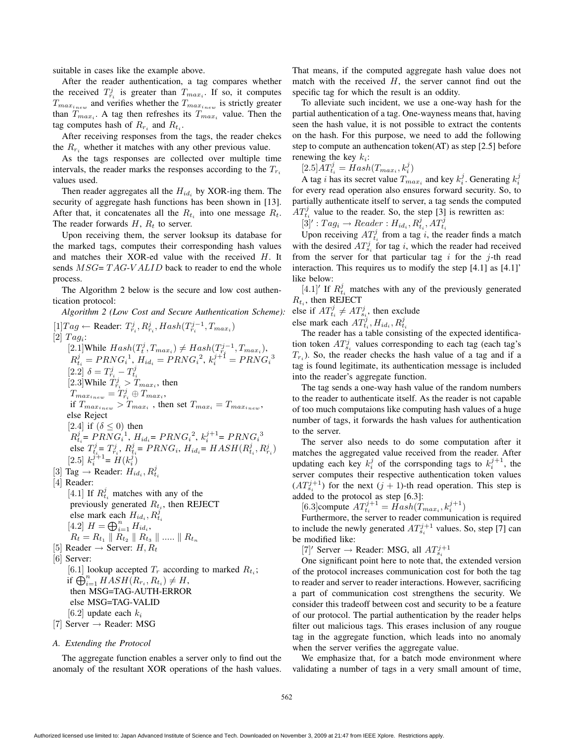suitable in cases like the example above.

After the reader authentication, a tag compares whether the received  $T_{r_i}^j$  is greater than  $T_{max_i}$ . If so, it computes  $T_{max_{i new}}$  and verifies whether the  $T_{max_{i new}}$  is strictly greater than  $T_{max_i}$ . A tag then refreshes its  $T_{max_i}$  value. Then the tag computes hash of  $R_{r_i}$  and  $R_{t_i}$ .

After receiving responses from the tags, the reader chekcs the  $R_{r_i}$  whether it matches with any other previous value.

As the tags responses are collected over multiple time intervals, the reader marks the responses according to the  $T_{r_i}$ values used.

Then reader aggregates all the  $H_{id_i}$  by XOR-ing them. The security of aggregate hash functions has been shown in [13]. After that, it concatenates all the  $R_{t_i}$  into one message  $R_t$ . The reader forwards  $H$ ,  $R_t$  to server.

Upon receiving them, the server looksup its database for the marked tags, computes their corresponding hash values and matches their XOR-ed value with the received H. It sends  $MSG = TAG-VALID$  back to reader to end the whole process.

The Algorithm 2 below is the secure and low cost authentication protocol:

*Algorithm 2 (Low Cost and Secure Authentication Scheme):*

$$
[1]Tag \leftarrow \text{Reader: } T_{r_i}^j, R_{r_i}^j, Hash(T_{r_i}^{j-1}, T_{max_i})
$$
\n
$$
[2] Tag_i:
$$
\n
$$
[2.1]While Hash(T_t^j, T_{max_i}) \neq Hash(T_{r_i}^{j-1}, T_{max_i}),
$$
\n
$$
R_{t_i}^j = PRNG_i^1, H_{id_i} = PRNG_i^2, k_i^{j+1} = PRNG_i^3
$$
\n
$$
[2.2] \delta = T_{r_i}^j - T_{t_i}^j
$$
\n
$$
[2.3]While T_{r_i}^j > T_{max_i}, then
$$
\n
$$
T_{max_{inew}} = T_{r_i}^j \oplus T_{max_i},
$$
\nif  $T_{max_{inew}} > T_{max_i}$ , then set  $T_{max_i} = T_{max_{inew}}$ ,  
\nelse Reject\n
$$
[2.4] if (\delta \le 0) then
$$
\n
$$
R_{t_i}^j = PRNG_i^1, H_{id_i} = PRNG_i^2, k_i^{j+1} = PRNG_i^3
$$
\nelse  $T_{t_i}^i = T_{r_i}^j, R_{t_i}^j = PRNG_i, H_{id_i} = HASH(R_{t_i}^j, R_{r_i}^j)$ \n
$$
[2.5] k_i^{j+1} = H(k_i^j)
$$
\n
$$
[3] Tag \rightarrow \text{Reader: } H_{id_i}, R_{t_i}^j
$$
\n
$$
[4] Reader:
$$
\n
$$
[4.1] If R_{t_i}^j \text{ matches with any of the previously generated } R_{t_i}, then REJECT else mark each  $H_{id_i}, R_{t_i}^j$
$$
\n
$$
[4.2] H = \bigoplus_{i=1}^n H_{id_i},
$$
\n
$$
R_t = R_{t_1} || R_{t_2} || R_{t_3} || \dots || R_{t_n}
$$
\n
$$
[5] Reader \rightarrow Server: H, R_t
$$
\n
$$
[6.1] lookup accepted T_r according to marked R_{t_i}; if \bigoplus_{i=1}^n H_{id_i}, R_{t_i}^j \text{ if } \bigoplus_{i=1}^n H_{id_i}, R_{t_i}^j \text{ if } \bigoplus_{i=1}^
$$

if  $\oplus$  $\sum_{i=1}^{n} HASH(R_{r_i}, R_{t_i}) \neq H,$ then MSG=TAG-AUTH-ERROR else MSG=TAG-VALID [6.2] update each  $k_i$ 

[7] Server  $\rightarrow$  Reader: MSG

# *A. Extending the Protocol*

The aggregate function enables a server only to find out the anomaly of the resultant XOR operations of the hash values.

That means, if the computed aggregate hash value does not match with the received  $H$ , the server cannot find out the specific tag for which the result is an oddity.

To alleviate such incident, we use a one-way hash for the partial authentication of a tag. One-wayness means that, having seen the hash value, it is not possible to extract the contents on the hash. For this purpose, we need to add the following step to compute an authencation token(AT) as step [2.5] before renewing the key  $k_i$ :

 $[2.5]AT_{t_i}^j = Hash(T_{max_i}, k_i^j)$ 

A tag *i* has its secret value  $T_{max_i}$  and key  $k_i^j$ . Generating  $k_i^j$ for every read operation also ensures forward security. So, to partially authenticate itself to server, a tag sends the computed  $AT_{t_i}^j$  value to the reader. So, the step [3] is rewritten as:

 $[3]': Tag_i \rightarrow Reader : H_{id_i}, R_{t_i}^j, AT_{t_i}^j$ 

Upon receiving  $AT_{t_i}^j$  from a tag i, the reader finds a match with the desired  $AT_{s_i}^{j}$  for tag i, which the reader had received from the server for that particular tag  $i$  for the  $j$ -th read interaction. This requires us to modify the step [4.1] as [4.1]' like below:

 $[4.1]'$  If  $R_{t_i}^j$  matches with any of the previously generated  $R_t$ , then REJECT

else if  $AT_{t_i}^j \neq AT_{s_i}^j$ , then exclude

else mark each  $AT_{t_i}^{j_i}$ ,  $H_{id_i}$ ,  $R_{t_i}^{j_i}$ 

The reader has a table consisting of the expected identification token  $AT_{s_i}^j$  values corresponding to each tag (each tag's  $T_{r_i}$ ). So, the reader checks the hash value of a tag and if a tag is found legitimate, its authentication message is included into the reader's aggregate function.

The tag sends a one-way hash value of the random numbers to the reader to authenticate itself. As the reader is not capable of too much computaions like computing hash values of a huge number of tags, it forwards the hash values for authentication to the server.

The server also needs to do some computation after it matches the aggregated value received from the reader. After updating each key  $k_i^j$  of the corrsponding tags to  $k_i^{j+1}$ , the server computes their respective authentication token values  $(AT_{s_i}^{j+1})$  for the next  $(j + 1)$ -th read operation. This step is added to the protocol as step [6.3]:

[6.3] compute  $AT_{t_i}^{j+1} = Hash(T_{max_i}, k_i^{j+1})$ 

Furthermore, the server to reader communication is required to include the newly generated  $AT_{s_i}^{j+1}$  values. So, step [7] can be modified like:

[7]<sup> $\prime$ </sup> Server  $\rightarrow$  Reader: MSG, all  $AT_{s_i}^{j+1}$ 

One significant point here to note that, the extended version of the protocol increases communication cost for both the tag to reader and server to reader interactions. However, sacrificing a part of communication cost strengthens the security. We consider this tradeoff between cost and security to be a feature of our protocol. The partial authentication by the reader helps filter out malicious tags. This erases inclusion of any rougue tag in the aggregate function, which leads into no anomaly when the server verifies the aggregate value.

We emphasize that, for a batch mode environment where validating a number of tags in a very small amount of time,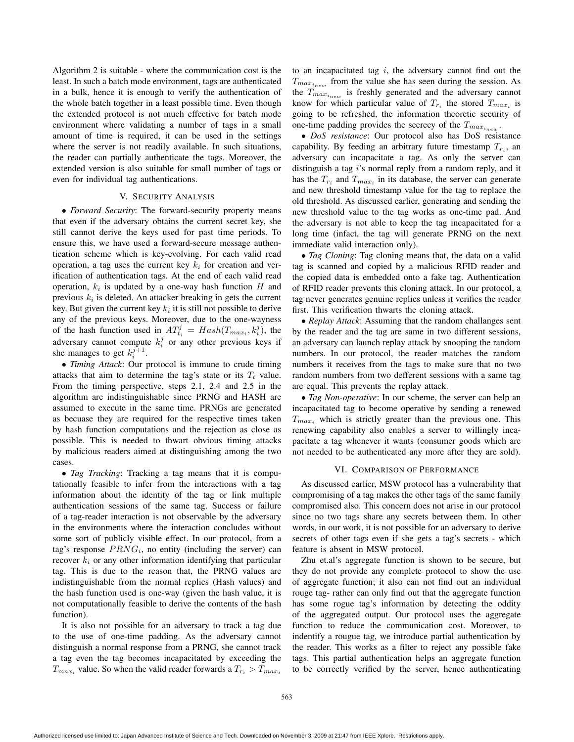Algorithm 2 is suitable - where the communication cost is the least. In such a batch mode environment, tags are authenticated in a bulk, hence it is enough to verify the authentication of the whole batch together in a least possible time. Even though the extended protocol is not much effective for batch mode environment where validating a number of tags in a small amount of time is required, it can be used in the settings where the server is not readily available. In such situations, the reader can partially authenticate the tags. Moreover, the extended version is also suitable for small number of tags or even for individual tag authentications.

## V. SECURITY ANALYSIS

• *Forward Security*: The forward-security property means that even if the adversary obtains the current secret key, she still cannot derive the keys used for past time periods. To ensure this, we have used a forward-secure message authentication scheme which is key-evolving. For each valid read operation, a tag uses the current key  $k_i$  for creation and verification of authentication tags. At the end of each valid read operation,  $k_i$  is updated by a one-way hash function H and previous  $k_i$  is deleted. An attacker breaking in gets the current key. But given the current key  $k_i$  it is still not possible to derive any of the previous keys. Moreover, due to the one-wayness of the hash function used in  $AT_{t_i}^j = Hash(T_{max_i}, k_i^j)$ , the adversary cannot compute  $k_i^j$  or any other previous keys if she manages to get  $k_i^{j+1}$ .

• *Timing Attack*: Our protocol is immune to crude timing attacks that aim to determine the tag's state or its  $T_t$  value. From the timing perspective, steps 2.1, 2.4 and 2.5 in the algorithm are indistinguishable since PRNG and HASH are assumed to execute in the same time. PRNGs are generated as becuase they are required for the respective times taken by hash function computations and the rejection as close as possible. This is needed to thwart obvious timing attacks by malicious readers aimed at distinguishing among the two cases.

• *Tag Tracking*: Tracking a tag means that it is computationally feasible to infer from the interactions with a tag information about the identity of the tag or link multiple authentication sessions of the same tag. Success or failure of a tag-reader interaction is not observable by the adversary in the environments where the interaction concludes without some sort of publicly visible effect. In our protocol, from a tag's response  $PRNG_i$ , no entity (including the server) can recover  $k_i$  or any other information identifying that particular tag. This is due to the reason that, the PRNG values are indistinguishable from the normal replies (Hash values) and the hash function used is one-way (given the hash value, it is not computationally feasible to derive the contents of the hash function).

It is also not possible for an adversary to track a tag due to the use of one-time padding. As the adversary cannot distinguish a normal response from a PRNG, she cannot track a tag even the tag becomes incapacitated by exceeding the  $T_{max_i}$  value. So when the valid reader forwards a  $T_{r_i} > T_{max_i}$ 

to an incapacitated tag  $i$ , the adversary cannot find out the  $T_{max_{i_{new}}}$  from the value she has seen during the session. As the  $T_{max_{i_{new}}}$  is freshly generated and the adversary cannot know for which particular value of  $T_{r_i}$  the stored  $T_{max_i}$  is going to be refreshed, the information theoretic security of one-time padding provides the secrecy of the Tmax*inew* .

• *DoS resistance*: Our protocol also has DoS resistance capability. By feeding an arbitrary future timestamp  $T_{r_i}$ , an adversary can incapacitate a tag. As only the server can distinguish a tag i's normal reply from a random reply, and it has the  $T_{r_i}$  and  $T_{max_i}$  in its database, the server can generate and new threshold timestamp value for the tag to replace the old threshold. As discussed earlier, generating and sending the new threshold value to the tag works as one-time pad. And the adversary is not able to keep the tag incapacitated for a long time (infact, the tag will generate PRNG on the next immediate valid interaction only).

• *Tag Cloning*: Tag cloning means that, the data on a valid tag is scanned and copied by a malicious RFID reader and the copied data is embedded onto a fake tag. Authentication of RFID reader prevents this cloning attack. In our protocol, a tag never generates genuine replies unless it verifies the reader first. This verification thwarts the cloning attack.

• *Replay Attack*: Assuming that the random challanges sent by the reader and the tag are same in two different sessions, an adversary can launch replay attack by snooping the random numbers. In our protocol, the reader matches the random numbers it receives from the tags to make sure that no two random numbers from two defferent sessions with a same tag are equal. This prevents the replay attack.

• *Tag Non-operative*: In our scheme, the server can help an incapacitated tag to become operative by sending a renewed  $T_{max_i}$  which is strictly greater than the previous one. This renewing capability also enables a server to willingly incapacitate a tag whenever it wants (consumer goods which are not needed to be authenticated any more after they are sold).

#### VI. COMPARISON OF PERFORMANCE

As discussed earlier, MSW protocol has a vulnerability that compromising of a tag makes the other tags of the same family compromised also. This concern does not arise in our protocol since no two tags share any secrets between them. In other words, in our work, it is not possible for an adversary to derive secrets of other tags even if she gets a tag's secrets - which feature is absent in MSW protocol.

Zhu et.al's aggregate function is shown to be secure, but they do not provide any complete protocol to show the use of aggregate function; it also can not find out an individual rouge tag- rather can only find out that the aggregate function has some rogue tag's information by detecting the oddity of the aggregated output. Our protocol uses the aggregate function to reduce the communication cost. Moreover, to indentify a rougue tag, we introduce partial authentication by the reader. This works as a filter to reject any possible fake tags. This partial authentication helps an aggregate function to be correctly verified by the server, hence authenticating